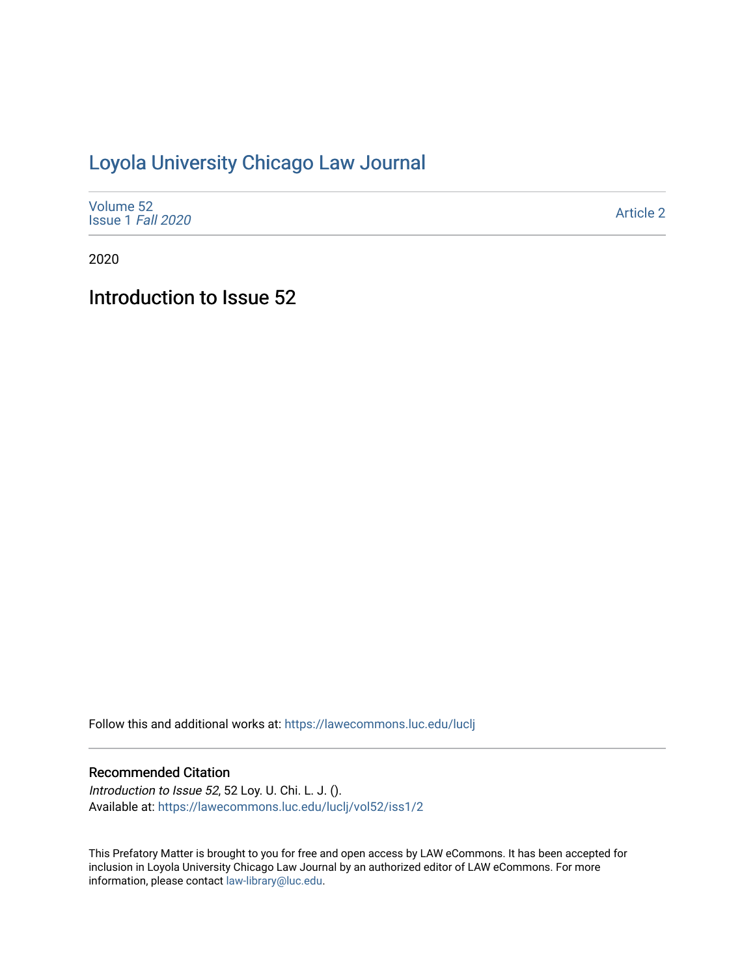## [Loyola University Chicago Law Journal](https://lawecommons.luc.edu/luclj)

| Volume 52<br>Issue 1 Fall 2020 | <b>Article 2</b> |
|--------------------------------|------------------|
|--------------------------------|------------------|

2020

Introduction to Issue 52

Follow this and additional works at: [https://lawecommons.luc.edu/luclj](https://lawecommons.luc.edu/luclj?utm_source=lawecommons.luc.edu%2Fluclj%2Fvol52%2Fiss1%2F2&utm_medium=PDF&utm_campaign=PDFCoverPages) 

## Recommended Citation

Introduction to Issue 52, 52 Loy. U. Chi. L. J. (). Available at: [https://lawecommons.luc.edu/luclj/vol52/iss1/2](https://lawecommons.luc.edu/luclj/vol52/iss1/2?utm_source=lawecommons.luc.edu%2Fluclj%2Fvol52%2Fiss1%2F2&utm_medium=PDF&utm_campaign=PDFCoverPages) 

This Prefatory Matter is brought to you for free and open access by LAW eCommons. It has been accepted for inclusion in Loyola University Chicago Law Journal by an authorized editor of LAW eCommons. For more information, please contact [law-library@luc.edu.](mailto:law-library@luc.edu)